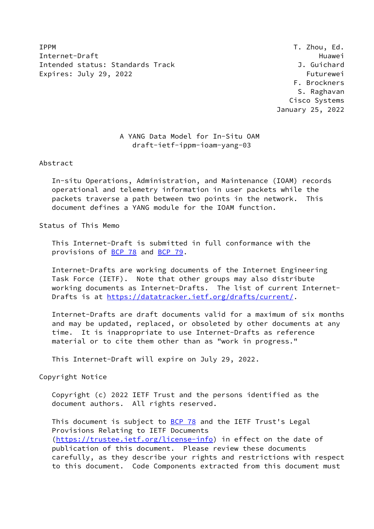**IPPM** T. Zhou, Ed. Internet-Draft Huawei Intended status: Standards Track J. Guichard Expires: July 29, 2022 **Futurewei** 

 F. Brockners S. Raghavan Cisco Systems January 25, 2022

# A YANG Data Model for In-Situ OAM draft-ietf-ippm-ioam-yang-03

Abstract

 In-situ Operations, Administration, and Maintenance (IOAM) records operational and telemetry information in user packets while the packets traverse a path between two points in the network. This document defines a YANG module for the IOAM function.

Status of This Memo

 This Internet-Draft is submitted in full conformance with the provisions of **BCP 78** and **BCP 79**.

 Internet-Drafts are working documents of the Internet Engineering Task Force (IETF). Note that other groups may also distribute working documents as Internet-Drafts. The list of current Internet Drafts is at<https://datatracker.ietf.org/drafts/current/>.

 Internet-Drafts are draft documents valid for a maximum of six months and may be updated, replaced, or obsoleted by other documents at any time. It is inappropriate to use Internet-Drafts as reference material or to cite them other than as "work in progress."

This Internet-Draft will expire on July 29, 2022.

Copyright Notice

 Copyright (c) 2022 IETF Trust and the persons identified as the document authors. All rights reserved.

This document is subject to **[BCP 78](https://datatracker.ietf.org/doc/pdf/bcp78)** and the IETF Trust's Legal Provisions Relating to IETF Documents [\(https://trustee.ietf.org/license-info](https://trustee.ietf.org/license-info)) in effect on the date of publication of this document. Please review these documents carefully, as they describe your rights and restrictions with respect to this document. Code Components extracted from this document must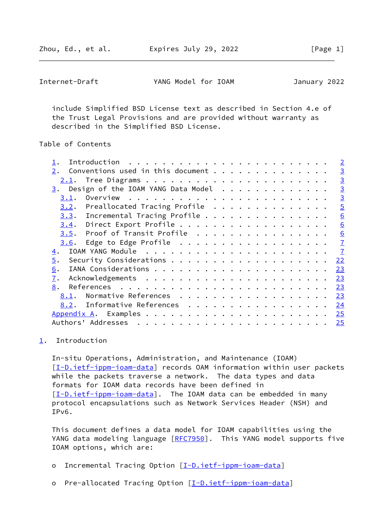Zhou, Ed., et al. Expires July 29, 2022 [Page 1]

<span id="page-1-1"></span>Internet-Draft YANG Model for IOAM January 2022

 include Simplified BSD License text as described in Section 4.e of the Trust Legal Provisions and are provided without warranty as described in the Simplified BSD License.

# Table of Contents

|                                         | $\overline{2}$  |
|-----------------------------------------|-----------------|
| Conventions used in this document<br>2. | $\overline{3}$  |
| 2.1.                                    | $\overline{3}$  |
| $3.$ Design of the IOAM YANG Data Model | $\overline{3}$  |
| 3.1.                                    | $\overline{3}$  |
| Preallocated Tracing Profile<br>3.2.    | $\overline{5}$  |
| $3.3.$ Incremental Tracing Profile      | $\underline{6}$ |
| Direct Export Profile<br>3.4.           | $\underline{6}$ |
| Proof of Transit Profile<br>3.5.        | 6               |
| Edge to Edge Profile<br>3.6.            | $\overline{1}$  |
| 4.                                      | $\mathbf{Z}$    |
| $\overline{5}$ .                        | 22              |
| 6.                                      | 23              |
| $\overline{1}$ .                        | 23              |
| 8.                                      | 23              |
| Normative References<br>8.1.            | 23              |
| Informative References<br>8.2.          | 24              |
|                                         | 25              |
| Authors' Addresses                      | 25              |

## <span id="page-1-0"></span>[1](#page-1-0). Introduction

 In-situ Operations, Administration, and Maintenance (IOAM) [\[I-D.ietf-ippm-ioam-data](#page-25-4)] records OAM information within user packets while the packets traverse a network. The data types and data formats for IOAM data records have been defined in [\[I-D.ietf-ippm-ioam-data](#page-25-4)]. The IOAM data can be embedded in many protocol encapsulations such as Network Services Header (NSH) and IPv6.

 This document defines a data model for IOAM capabilities using the YANG data modeling language [\[RFC7950](https://datatracker.ietf.org/doc/pdf/rfc7950)]. This YANG model supports five IOAM options, which are:

- o Incremental Tracing Option [[I-D.ietf-ippm-ioam-data](#page-25-4)]
- o Pre-allocated Tracing Option [\[I-D.ietf-ippm-ioam-data](#page-25-4)]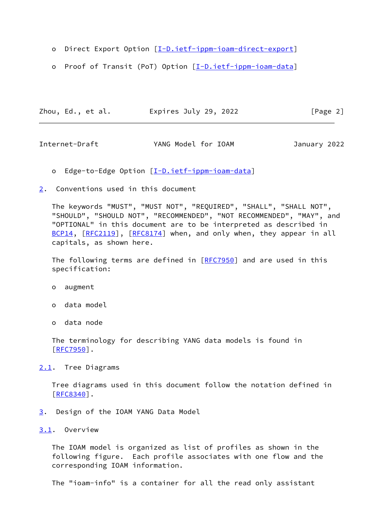- o Direct Export Option [\[I-D.ietf-ippm-ioam-direct-export](#page-25-5)]
- o Proof of Transit (PoT) Option [\[I-D.ietf-ippm-ioam-data](#page-25-4)]

| Zhou, Ed., et al. | Expires July 29, 2022 | [Page 2] |
|-------------------|-----------------------|----------|
|-------------------|-----------------------|----------|

<span id="page-2-1"></span>Internet-Draft YANG Model for IOAM January 2022

- o Edge-to-Edge Option [\[I-D.ietf-ippm-ioam-data](#page-25-4)]
- <span id="page-2-0"></span>[2](#page-2-0). Conventions used in this document

 The keywords "MUST", "MUST NOT", "REQUIRED", "SHALL", "SHALL NOT", "SHOULD", "SHOULD NOT", "RECOMMENDED", "NOT RECOMMENDED", "MAY", and "OPTIONAL" in this document are to be interpreted as described in [BCP14](https://datatracker.ietf.org/doc/pdf/bcp14), [\[RFC2119](https://datatracker.ietf.org/doc/pdf/rfc2119)], [[RFC8174](https://datatracker.ietf.org/doc/pdf/rfc8174)] when, and only when, they appear in all capitals, as shown here.

The following terms are defined in [[RFC7950\]](https://datatracker.ietf.org/doc/pdf/rfc7950) and are used in this specification:

- o augment
- o data model
- o data node

 The terminology for describing YANG data models is found in [\[RFC7950](https://datatracker.ietf.org/doc/pdf/rfc7950)].

<span id="page-2-2"></span>[2.1](#page-2-2). Tree Diagrams

 Tree diagrams used in this document follow the notation defined in [\[RFC8340](https://datatracker.ietf.org/doc/pdf/rfc8340)].

- <span id="page-2-3"></span>[3](#page-2-3). Design of the IOAM YANG Data Model
- <span id="page-2-4"></span>[3.1](#page-2-4). Overview

 The IOAM model is organized as list of profiles as shown in the following figure. Each profile associates with one flow and the corresponding IOAM information.

The "ioam-info" is a container for all the read only assistant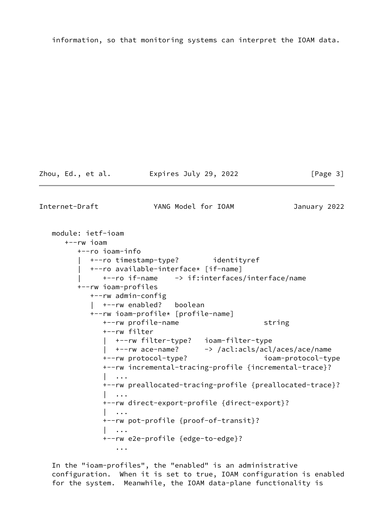information, so that monitoring systems can interpret the IOAM data.

Zhou, Ed., et al. Expires July 29, 2022 [Page 3]

Internet-Draft YANG Model for IOAM January 2022

 module: ietf-ioam +--rw ioam +--ro ioam-info | +--ro timestamp-type? identityref | +--ro available-interface\* [if-name] | +--ro if-name -> if:interfaces/interface/name +--rw ioam-profiles +--rw admin-config | +--rw enabled? boolean +--rw ioam-profile\* [profile-name] +--rw profile-name string +--rw filter | +--rw filter-type? ioam-filter-type | +--rw ace-name? -> /acl:acls/acl/aces/ace/name +--rw protocol-type? ioam-protocol-type +--rw incremental-tracing-profile {incremental-trace}? | ... +--rw preallocated-tracing-profile {preallocated-trace}? | ... +--rw direct-export-profile {direct-export}? | ... +--rw pot-profile {proof-of-transit}? | ... +--rw e2e-profile {edge-to-edge}? ...

 In the "ioam-profiles", the "enabled" is an administrative configuration. When it is set to true, IOAM configuration is enabled for the system. Meanwhile, the IOAM data-plane functionality is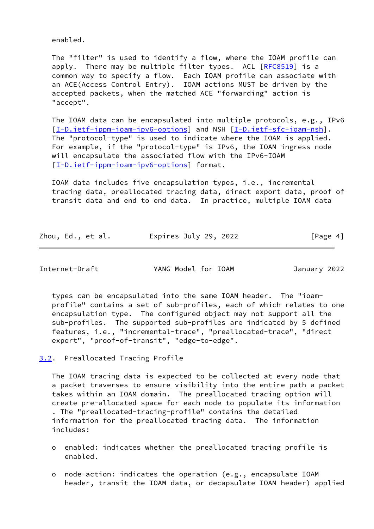enabled.

 The "filter" is used to identify a flow, where the IOAM profile can apply. There may be multiple filter types. ACL [\[RFC8519](https://datatracker.ietf.org/doc/pdf/rfc8519)] is a common way to specify a flow. Each IOAM profile can associate with an ACE(Access Control Entry). IOAM actions MUST be driven by the accepted packets, when the matched ACE "forwarding" action is "accept".

 The IOAM data can be encapsulated into multiple protocols, e.g., IPv6 [\[I-D.ietf-ippm-ioam-ipv6-options](#page-27-3)] and NSH [[I-D.ietf-sfc-ioam-nsh\]](#page-27-4). The "protocol-type" is used to indicate where the IOAM is applied. For example, if the "protocol-type" is IPv6, the IOAM ingress node will encapsulate the associated flow with the IPv6-IOAM [\[I-D.ietf-ippm-ioam-ipv6-options](#page-27-3)] format.

 IOAM data includes five encapsulation types, i.e., incremental tracing data, preallocated tracing data, direct export data, proof of transit data and end to end data. In practice, multiple IOAM data

| Zhou, Ed., et al. | Expires July 29, 2022 | [Page 4] |
|-------------------|-----------------------|----------|
|                   |                       |          |

<span id="page-4-1"></span>Internet-Draft YANG Model for IOAM January 2022

 types can be encapsulated into the same IOAM header. The "ioam profile" contains a set of sub-profiles, each of which relates to one encapsulation type. The configured object may not support all the sub-profiles. The supported sub-profiles are indicated by 5 defined features, i.e., "incremental-trace", "preallocated-trace", "direct export", "proof-of-transit", "edge-to-edge".

<span id="page-4-0"></span>[3.2](#page-4-0). Preallocated Tracing Profile

 The IOAM tracing data is expected to be collected at every node that a packet traverses to ensure visibility into the entire path a packet takes within an IOAM domain. The preallocated tracing option will create pre-allocated space for each node to populate its information . The "preallocated-tracing-profile" contains the detailed information for the preallocated tracing data. The information includes:

- o enabled: indicates whether the preallocated tracing profile is enabled.
- o node-action: indicates the operation (e.g., encapsulate IOAM header, transit the IOAM data, or decapsulate IOAM header) applied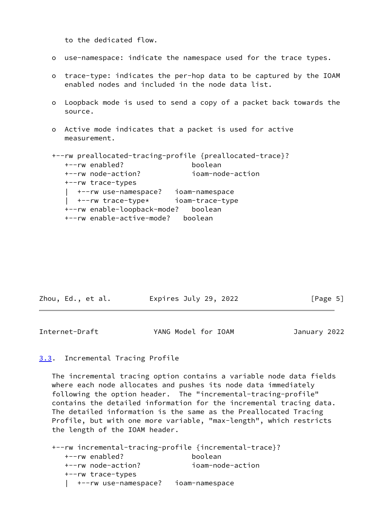to the dedicated flow.

- o use-namespace: indicate the namespace used for the trace types.
- o trace-type: indicates the per-hop data to be captured by the IOAM enabled nodes and included in the node data list.
- o Loopback mode is used to send a copy of a packet back towards the source.
- o Active mode indicates that a packet is used for active measurement.

```
 +--rw preallocated-tracing-profile {preallocated-trace}?
   +--rw enabled? boolean
   +--rw node-action? ioam-node-action
   +--rw trace-types
   | +--rw use-namespace? ioam-namespace
   | +--rw trace-type* ioam-trace-type
   +--rw enable-loopback-mode? boolean
   +--rw enable-active-mode? boolean
```

| Zhou, Ed., et al. | Expires July 29, 2022 | [Page 5] |
|-------------------|-----------------------|----------|
|-------------------|-----------------------|----------|

<span id="page-5-1"></span>Internet-Draft YANG Model for IOAM January 2022

### <span id="page-5-0"></span>[3.3](#page-5-0). Incremental Tracing Profile

 The incremental tracing option contains a variable node data fields where each node allocates and pushes its node data immediately following the option header. The "incremental-tracing-profile" contains the detailed information for the incremental tracing data. The detailed information is the same as the Preallocated Tracing Profile, but with one more variable, "max-length", which restricts the length of the IOAM header.

 +--rw incremental-tracing-profile {incremental-trace}? +--rw enabled? boolean +--rw node-action? ioam-node-action +--rw trace-types | +--rw use-namespace? ioam-namespace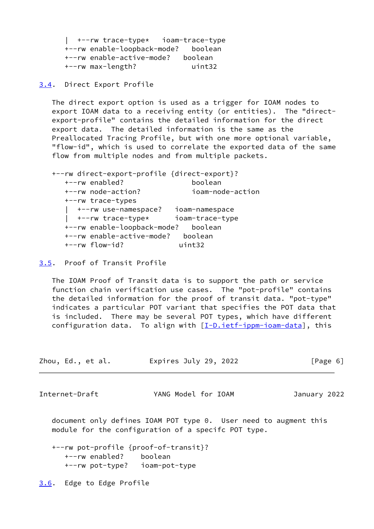| +--rw trace-type\* ioam-trace-type +--rw enable-loopback-mode? boolean +--rw enable-active-mode? boolean +--rw max-length? uint32

<span id="page-6-0"></span>[3.4](#page-6-0). Direct Export Profile

 The direct export option is used as a trigger for IOAM nodes to export IOAM data to a receiving entity (or entities). The "direct export-profile" contains the detailed information for the direct export data. The detailed information is the same as the Preallocated Tracing Profile, but with one more optional variable, "flow-id", which is used to correlate the exported data of the same flow from multiple nodes and from multiple packets.

 +--rw direct-export-profile {direct-export}? +--rw enabled? boolean +--rw node-action? ioam-node-action +--rw trace-types | +--rw use-namespace? ioam-namespace | +--rw trace-type\* ioam-trace-type +--rw enable-loopback-mode? boolean +--rw enable-active-mode? boolean +--rw flow-id? uint32

<span id="page-6-1"></span>[3.5](#page-6-1). Proof of Transit Profile

 The IOAM Proof of Transit data is to support the path or service function chain verification use cases. The "pot-profile" contains the detailed information for the proof of transit data. "pot-type" indicates a particular POT variant that specifies the POT data that is included. There may be several POT types, which have different configuration data. To align with  $[I-D.iet f-jppm-i\rho a m-data]$ , this

| Expires July 29, 2022<br>Zhou, Ed., et al. | [Page 6] |
|--------------------------------------------|----------|
|--------------------------------------------|----------|

<span id="page-6-3"></span>Internet-Draft YANG Model for IOAM January 2022

 document only defines IOAM POT type 0. User need to augment this module for the configuration of a specifc POT type.

 +--rw pot-profile {proof-of-transit}? +--rw enabled? boolean +--rw pot-type? ioam-pot-type

<span id="page-6-2"></span>[3.6](#page-6-2). Edge to Edge Profile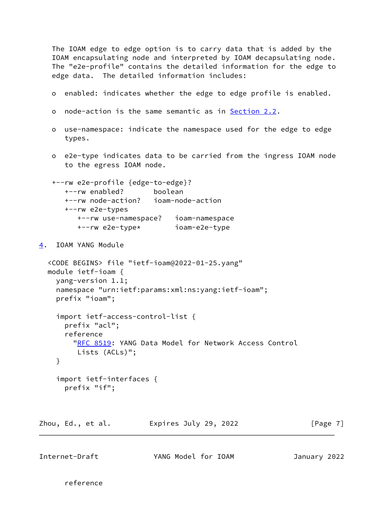The IOAM edge to edge option is to carry data that is added by the IOAM encapsulating node and interpreted by IOAM decapsulating node. The "e2e-profile" contains the detailed information for the edge to edge data. The detailed information includes:

- o enabled: indicates whether the edge to edge profile is enabled.
- o node-action is the same semantic as in **Section 2.2**.
- o use-namespace: indicate the namespace used for the edge to edge types.
- o e2e-type indicates data to be carried from the ingress IOAM node to the egress IOAM node.

```
 +--rw e2e-profile {edge-to-edge}?
   +--rw enabled? boolean
   +--rw node-action? ioam-node-action
   +--rw e2e-types
      +--rw use-namespace? ioam-namespace
      +--rw e2e-type* ioam-e2e-type
```
## <span id="page-7-0"></span>[4](#page-7-0). IOAM YANG Module

```
 <CODE BEGINS> file "ietf-ioam@2022-01-25.yang"
 module ietf-ioam {
   yang-version 1.1;
   namespace "urn:ietf:params:xml:ns:yang:ietf-ioam";
   prefix "ioam";
```

```
 import ietf-access-control-list {
   prefix "acl";
   reference
     "RFC 8519: YANG Data Model for Network Access Control
      Lists (ACLs)";
 }
```

```
 import ietf-interfaces {
  prefix "if";
```
Zhou, Ed., et al. Expires July 29, 2022 [Page 7]

| YANG Model for IOAM<br>Internet-Draft<br>January 2022 |  |
|-------------------------------------------------------|--|
|-------------------------------------------------------|--|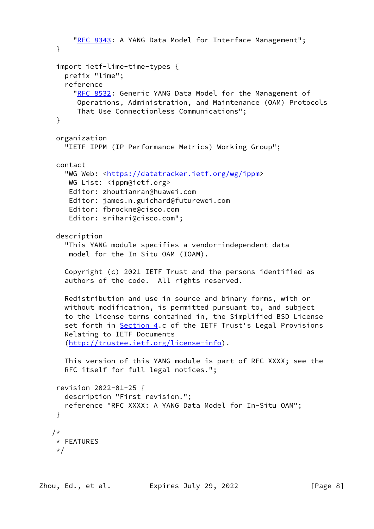```
"RFC 8343: A YANG Data Model for Interface Management";
  }
  import ietf-lime-time-types {
   prefix "lime";
    reference
      "RFC 8532: Generic YANG Data Model for the Management of
       Operations, Administration, and Maintenance (OAM) Protocols
       That Use Connectionless Communications";
  }
  organization
    "IETF IPPM (IP Performance Metrics) Working Group";
  contact
    "WG Web: <https://datatracker.ietf.org/wg/ippm>
   WG List: <ippm@ietf.org>
     Editor: zhoutianran@huawei.com
     Editor: james.n.guichard@futurewei.com
     Editor: fbrockne@cisco.com
     Editor: srihari@cisco.com";
  description
    "This YANG module specifies a vendor-independent data
     model for the In Situ OAM (IOAM).
    Copyright (c) 2021 IETF Trust and the persons identified as
    authors of the code. All rights reserved.
   Redistribution and use in source and binary forms, with or
   without modification, is permitted pursuant to, and subject
    to the license terms contained in, the Simplified BSD License
    Section 4.c of the IETF Trust's Legal Provisions
   Relating to IETF Documents
    (http://trustee.ietf.org/license-info).
   This version of this YANG module is part of RFC XXXX; see the
   RFC itself for full legal notices.";
  revision 2022-01-25 {
   description "First revision.";
    reference "RFC XXXX: A YANG Data Model for In-Situ OAM";
  }
/*
 * FEATURES
  */
```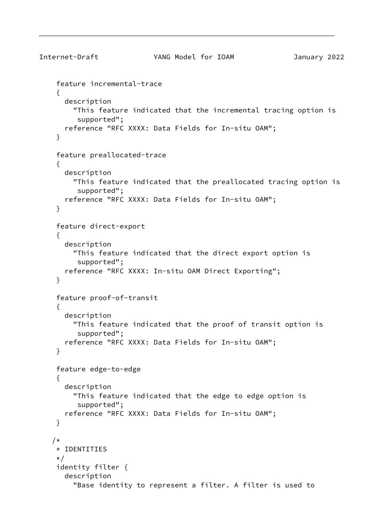```
Internet-Draft YANG Model for IOAM January 2022
     feature incremental-trace
     {
       description
         "This feature indicated that the incremental tracing option is
          supported";
       reference "RFC XXXX: Data Fields for In-situ OAM";
     }
     feature preallocated-trace
     {
       description
         "This feature indicated that the preallocated tracing option is
          supported";
       reference "RFC XXXX: Data Fields for In-situ OAM";
     }
     feature direct-export
     {
       description
         "This feature indicated that the direct export option is
          supported";
       reference "RFC XXXX: In-situ OAM Direct Exporting";
     }
     feature proof-of-transit
     {
       description
         "This feature indicated that the proof of transit option is
          supported";
       reference "RFC XXXX: Data Fields for In-situ OAM";
     }
     feature edge-to-edge
     {
       description
         "This feature indicated that the edge to edge option is
          supported";
       reference "RFC XXXX: Data Fields for In-situ OAM";
     }
    /*
     * IDENTITIES
     */
     identity filter {
       description
         "Base identity to represent a filter. A filter is used to
```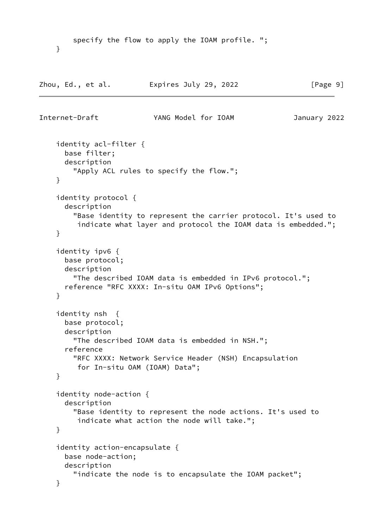```
 specify the flow to apply the IOAM profile. ";
```
Zhou, Ed., et al. expires July 29, 2022 [Page 9]

}

```
Internet-Draft YANG Model for IOAM January 2022
     identity acl-filter {
       base filter;
       description
         "Apply ACL rules to specify the flow.";
     }
     identity protocol {
       description
         "Base identity to represent the carrier protocol. It's used to
          indicate what layer and protocol the IOAM data is embedded.";
     }
     identity ipv6 {
       base protocol;
       description
         "The described IOAM data is embedded in IPv6 protocol.";
      reference "RFC XXXX: In-situ OAM IPv6 Options";
     }
     identity nsh {
       base protocol;
       description
         "The described IOAM data is embedded in NSH.";
       reference
         "RFC XXXX: Network Service Header (NSH) Encapsulation
          for In-situ OAM (IOAM) Data";
     }
     identity node-action {
       description
         "Base identity to represent the node actions. It's used to
          indicate what action the node will take.";
     }
     identity action-encapsulate {
       base node-action;
       description
         "indicate the node is to encapsulate the IOAM packet";
     }
```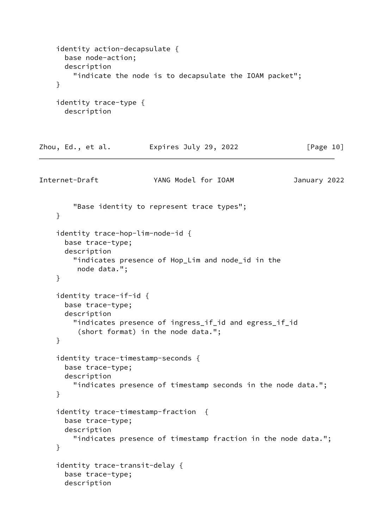```
 identity action-decapsulate {
       base node-action;
       description
         "indicate the node is to decapsulate the IOAM packet";
     }
     identity trace-type {
       description
Zhou, Ed., et al.         Expires July 29, 2022           [Page 10]
Internet-Draft YANG Model for IOAM January 2022
         "Base identity to represent trace types";
     }
     identity trace-hop-lim-node-id {
       base trace-type;
       description
         "indicates presence of Hop_Lim and node_id in the
          node data.";
     }
     identity trace-if-id {
       base trace-type;
       description
         "indicates presence of ingress_if_id and egress_if_id
          (short format) in the node data.";
     }
     identity trace-timestamp-seconds {
       base trace-type;
       description
         "indicates presence of timestamp seconds in the node data.";
     }
     identity trace-timestamp-fraction {
       base trace-type;
       description
         "indicates presence of timestamp fraction in the node data.";
     }
     identity trace-transit-delay {
       base trace-type;
       description
```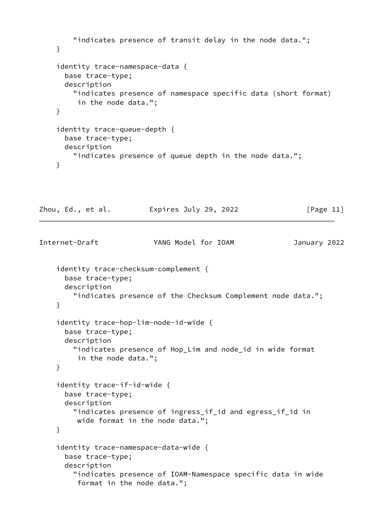```
 "indicates presence of transit delay in the node data.";
    }
     identity trace-namespace-data {
      base trace-type;
      description
         "indicates presence of namespace specific data (short format)
         in the node data.";
    }
     identity trace-queue-depth {
      base trace-type;
      description
         "indicates presence of queue depth in the node data.";
    }
Zhou, Ed., et al. Expires July 29, 2022 [Page 11]
Internet-Draft YANG Model for IOAM January 2022
     identity trace-checksum-complement {
      base trace-type;
      description
         "indicates presence of the Checksum Complement node data.";
    }
     identity trace-hop-lim-node-id-wide {
       base trace-type;
      description
         "indicates presence of Hop_Lim and node_id in wide format
         in the node data.";
    }
     identity trace-if-id-wide {
```

```
 base trace-type;
 description
```
}

```
 "indicates presence of ingress_if_id and egress_if_id in
 wide format in the node data.";
```

```
 identity trace-namespace-data-wide {
  base trace-type;
  description
     "indicates presence of IOAM-Namespace specific data in wide
      format in the node data.";
```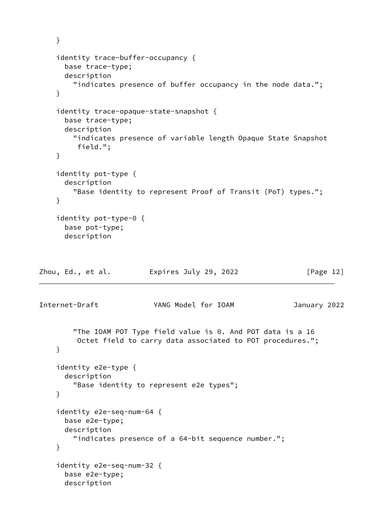```
 }
     identity trace-buffer-occupancy {
       base trace-type;
       description
         "indicates presence of buffer occupancy in the node data.";
     }
     identity trace-opaque-state-snapshot {
       base trace-type;
       description
         "indicates presence of variable length Opaque State Snapshot
          field.";
     }
     identity pot-type {
       description
         "Base identity to represent Proof of Transit (PoT) types.";
     }
     identity pot-type-0 {
       base pot-type;
       description
Zhou, Ed., et al.         Expires July 29, 2022           [Page 12]
Internet-Draft YANG Model for IOAM January 2022
         "The IOAM POT Type field value is 0. And POT data is a 16
          Octet field to carry data associated to POT procedures.";
     }
     identity e2e-type {
       description
         "Base identity to represent e2e types";
     }
     identity e2e-seq-num-64 {
       base e2e-type;
       description
         "indicates presence of a 64-bit sequence number.";
     }
     identity e2e-seq-num-32 {
       base e2e-type;
       description
```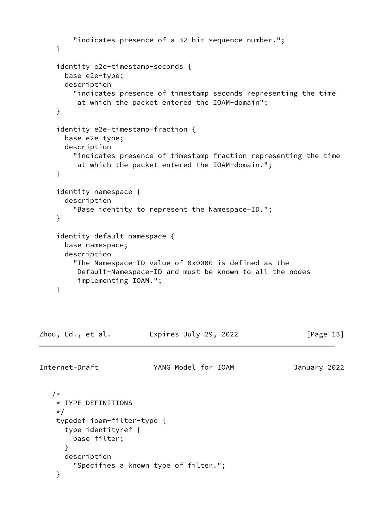```
 "indicates presence of a 32-bit sequence number.";
     }
     identity e2e-timestamp-seconds {
       base e2e-type;
       description
         "indicates presence of timestamp seconds representing the time
          at which the packet entered the IOAM-domain";
     }
     identity e2e-timestamp-fraction {
       base e2e-type;
       description
         "indicates presence of timestamp fraction representing the time
          at which the packet entered the IOAM-domain.";
     }
     identity namespace {
       description
         "Base identity to represent the Namespace-ID.";
     }
     identity default-namespace {
       base namespace;
       description
         "The Namespace-ID value of 0x0000 is defined as the
          Default-Namespace-ID and must be known to all the nodes
          implementing IOAM.";
     }
Zhou, Ed., et al.         Expires July 29, 2022           [Page 13]
Internet-Draft YANG Model for IOAM January 2022
   /*
     * TYPE DEFINITIONS
     */
     typedef ioam-filter-type {
       type identityref {
         base filter;
       }
       description
         "Specifies a known type of filter.";
     }
```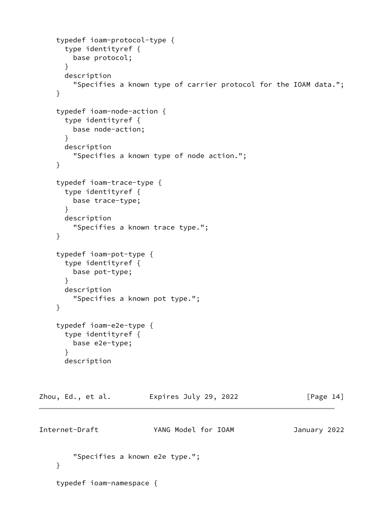```
 typedef ioam-protocol-type {
       type identityref {
         base protocol;
       }
       description
         "Specifies a known type of carrier protocol for the IOAM data.";
     }
     typedef ioam-node-action {
       type identityref {
         base node-action;
       }
       description
         "Specifies a known type of node action.";
     }
     typedef ioam-trace-type {
       type identityref {
        base trace-type;
       }
       description
         "Specifies a known trace type.";
     }
     typedef ioam-pot-type {
       type identityref {
        base pot-type;
       }
       description
         "Specifies a known pot type.";
     }
     typedef ioam-e2e-type {
       type identityref {
        base e2e-type;
       }
       description
Zhou, Ed., et al.         Expires July 29, 2022           [Page 14]
Internet-Draft YANG Model for IOAM January 2022
         "Specifies a known e2e type.";
     }
     typedef ioam-namespace {
```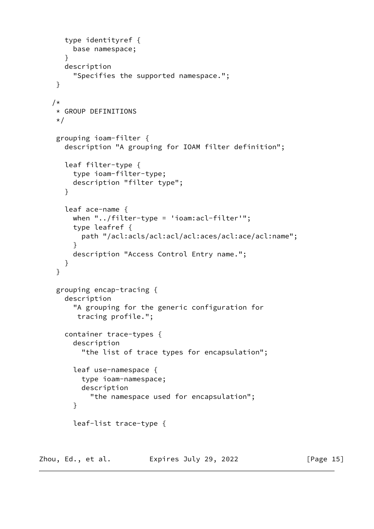```
 type identityref {
         base namespace;
       }
       description
         "Specifies the supported namespace.";
     }
    /*
     * GROUP DEFINITIONS
    \star/ grouping ioam-filter {
       description "A grouping for IOAM filter definition";
       leaf filter-type {
         type ioam-filter-type;
         description "filter type";
       }
       leaf ace-name {
         when "../filter-type = 'ioam:acl-filter'";
         type leafref {
           path "/acl:acls/acl:acl/acl:aces/acl:ace/acl:name";
 }
         description "Access Control Entry name.";
       }
     }
     grouping encap-tracing {
       description
         "A grouping for the generic configuration for
          tracing profile.";
       container trace-types {
         description
           "the list of trace types for encapsulation";
         leaf use-namespace {
           type ioam-namespace;
           description
             "the namespace used for encapsulation";
         }
         leaf-list trace-type {
```
Zhou, Ed., et al. Expires July 29, 2022 [Page 15]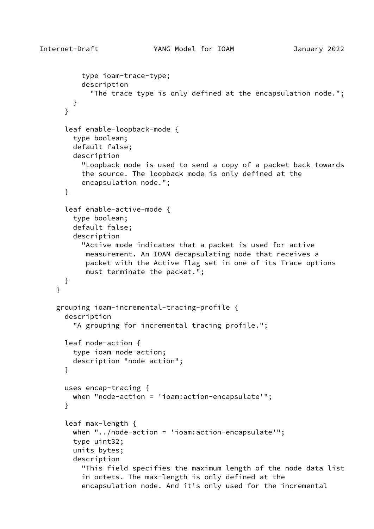```
 type ioam-trace-type;
           description
             "The trace type is only defined at the encapsulation node.";
 }
       }
       leaf enable-loopback-mode {
         type boolean;
         default false;
         description
           "Loopback mode is used to send a copy of a packet back towards
           the source. The loopback mode is only defined at the
           encapsulation node.";
       }
       leaf enable-active-mode {
         type boolean;
         default false;
         description
           "Active mode indicates that a packet is used for active
            measurement. An IOAM decapsulating node that receives a
            packet with the Active flag set in one of its Trace options
            must terminate the packet.";
       }
     }
     grouping ioam-incremental-tracing-profile {
       description
         "A grouping for incremental tracing profile.";
       leaf node-action {
         type ioam-node-action;
         description "node action";
       }
      uses encap-tracing {
         when "node-action = 'ioam:action-encapsulate'";
       }
       leaf max-length {
         when "../node-action = 'ioam:action-encapsulate'";
         type uint32;
         units bytes;
         description
           "This field specifies the maximum length of the node data list
           in octets. The max-length is only defined at the
           encapsulation node. And it's only used for the incremental
```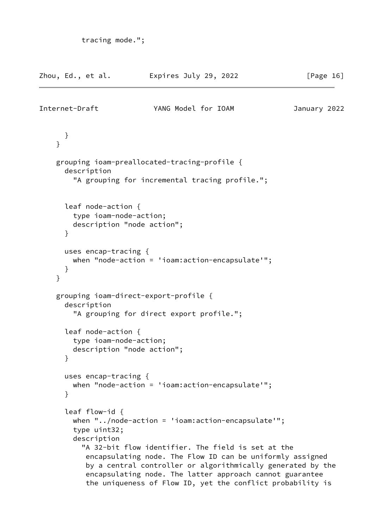```
 tracing mode.";
```

|   | Zhou, Ed., et al.                                                               | Expires July 29, 2022                                                                                                                                                                                                                                                                                                                                        | [Page $16$ ] |
|---|---------------------------------------------------------------------------------|--------------------------------------------------------------------------------------------------------------------------------------------------------------------------------------------------------------------------------------------------------------------------------------------------------------------------------------------------------------|--------------|
|   | Internet-Draft                                                                  | YANG Model for IOAM                                                                                                                                                                                                                                                                                                                                          | January 2022 |
| } | }                                                                               |                                                                                                                                                                                                                                                                                                                                                              |              |
|   | description                                                                     | grouping ioam-preallocated-tracing-profile {<br>"A grouping for incremental tracing profile.";                                                                                                                                                                                                                                                               |              |
|   | leaf node-action {<br>type ioam-node-action;<br>description "node action";<br>} |                                                                                                                                                                                                                                                                                                                                                              |              |
| } | uses encap-tracing $\{$<br>}                                                    | when "node-action = 'ioam: $\arction$ -encapsulate'";                                                                                                                                                                                                                                                                                                        |              |
|   | description                                                                     | grouping ioam-direct-export-profile {<br>"A grouping for direct export profile.";                                                                                                                                                                                                                                                                            |              |
|   | leaf node-action {<br>type ioam-node-action;<br>description "node action";<br>} |                                                                                                                                                                                                                                                                                                                                                              |              |
|   | uses encap-tracing $\{$<br>}                                                    | when "node-action = 'ioam: $\arction-encapsulate'$ ";                                                                                                                                                                                                                                                                                                        |              |
|   | leaf flow-id $\{$<br>type uint32;<br>description                                | when "/node-action = 'ioam:action-encapsulate'";<br>"A 32-bit flow identifier. The field is set at the<br>encapsulating node. The Flow ID can be uniformly assigned<br>by a central controller or algorithmically generated by the<br>encapsulating node. The latter approach cannot guarantee<br>the uniqueness of Flow ID, yet the conflict probability is |              |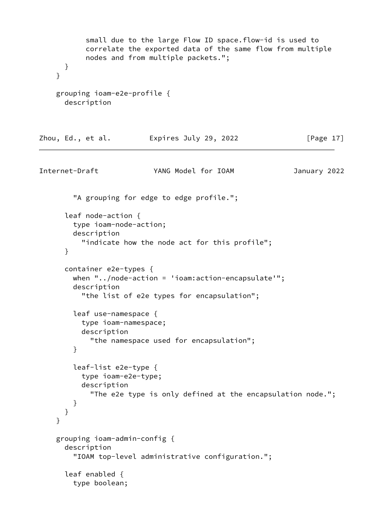```
 small due to the large Flow ID space.flow-id is used to
            correlate the exported data of the same flow from multiple
            nodes and from multiple packets.";
       }
     }
     grouping ioam-e2e-profile {
       description
Zhou, Ed., et al.         Expires July 29, 2022           [Page 17]
Internet-Draft YANG Model for IOAM January 2022
         "A grouping for edge to edge profile.";
       leaf node-action {
         type ioam-node-action;
         description
           "indicate how the node act for this profile";
       }
       container e2e-types {
         when "../node-action = 'ioam:action-encapsulate'";
         description
           "the list of e2e types for encapsulation";
         leaf use-namespace {
           type ioam-namespace;
           description
             "the namespace used for encapsulation";
         }
         leaf-list e2e-type {
           type ioam-e2e-type;
           description
             "The e2e type is only defined at the encapsulation node.";
         }
       }
     }
     grouping ioam-admin-config {
       description
         "IOAM top-level administrative configuration.";
       leaf enabled {
         type boolean;
```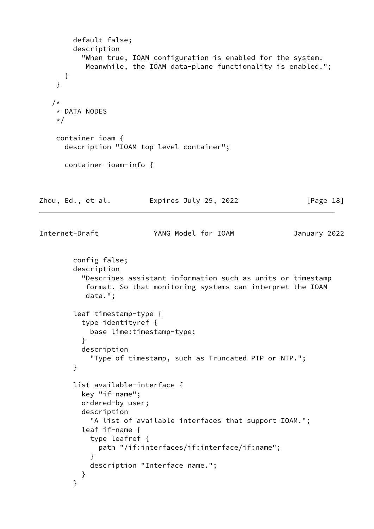```
 default false;
        description
          "When true, IOAM configuration is enabled for the system.
           Meanwhile, the IOAM data-plane functionality is enabled.";
      }
    }
    /*
    * DATA NODES
    */
    container ioam {
      description "IOAM top level container";
      container ioam-info {
Zhou, Ed., et al. Expires July 29, 2022 [Page 18]
Internet-Draft YANG Model for IOAM January 2022
        config false;
        description
          "Describes assistant information such as units or timestamp
           format. So that monitoring systems can interpret the IOAM
           data.";
        leaf timestamp-type {
          type identityref {
            base lime:timestamp-type;
 }
          description
            "Type of timestamp, such as Truncated PTP or NTP.";
        }
        list available-interface {
          key "if-name";
          ordered-by user;
          description
            "A list of available interfaces that support IOAM.";
          leaf if-name {
            type leafref {
              path "/if:interfaces/if:interface/if:name";
 }
            description "Interface name.";
          }
        }
```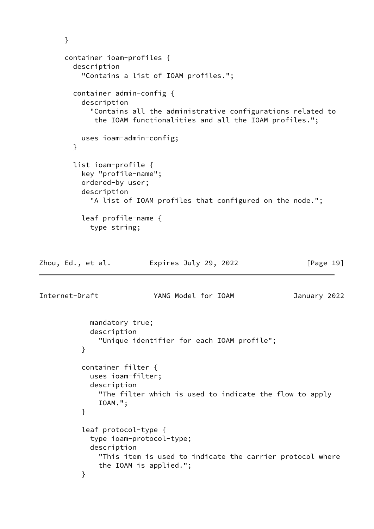```
 }
       container ioam-profiles {
         description
           "Contains a list of IOAM profiles.";
         container admin-config {
           description
             "Contains all the administrative configurations related to
              the IOAM functionalities and all the IOAM profiles.";
           uses ioam-admin-config;
         }
         list ioam-profile {
           key "profile-name";
           ordered-by user;
           description
             "A list of IOAM profiles that configured on the node.";
           leaf profile-name {
             type string;
Zhou, Ed., et al.         Expires July 29, 2022           [Page 19]
Internet-Draft YANG Model for IOAM January 2022
             mandatory true;
             description
               "Unique identifier for each IOAM profile";
           }
           container filter {
             uses ioam-filter;
             description
               "The filter which is used to indicate the flow to apply
               IOAM.";
 }
           leaf protocol-type {
             type ioam-protocol-type;
             description
               "This item is used to indicate the carrier protocol where
               the IOAM is applied.";
           }
```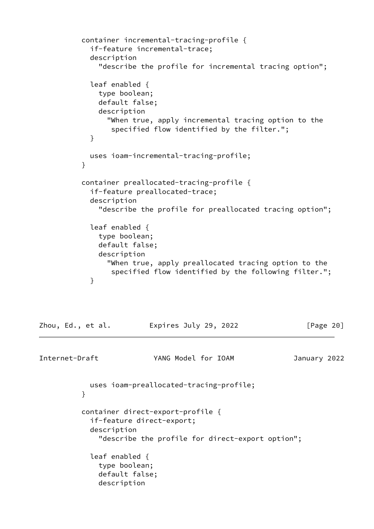```
 container incremental-tracing-profile {
            if-feature incremental-trace;
            description
              "describe the profile for incremental tracing option";
            leaf enabled {
              type boolean;
              default false;
              description
                 "When true, apply incremental tracing option to the
                 specified flow identified by the filter.";
 }
            uses ioam-incremental-tracing-profile;
 }
          container preallocated-tracing-profile {
            if-feature preallocated-trace;
            description
              "describe the profile for preallocated tracing option";
            leaf enabled {
              type boolean;
              default false;
              description
                 "When true, apply preallocated tracing option to the
                 specified flow identified by the following filter.";
 }
```
Zhou, Ed., et al. Expires July 29, 2022 [Page 20]

Internet-Draft YANG Model for IOAM January 2022

 uses ioam-preallocated-tracing-profile; } container direct-export-profile { if-feature direct-export; description "describe the profile for direct-export option"; leaf enabled { type boolean; default false; description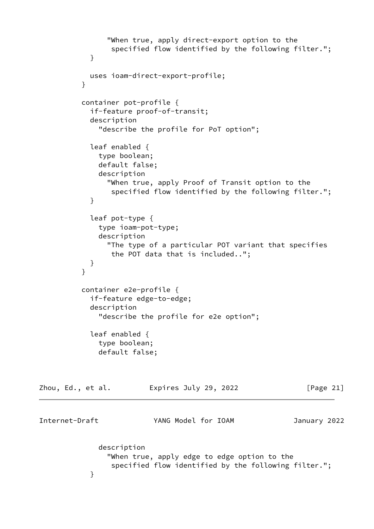```
 "When true, apply direct-export option to the
                 specified flow identified by the following filter.";
 }
            uses ioam-direct-export-profile;
 }
          container pot-profile {
            if-feature proof-of-transit;
            description
              "describe the profile for PoT option";
            leaf enabled {
              type boolean;
              default false;
              description
                "When true, apply Proof of Transit option to the
                 specified flow identified by the following filter.";
 }
            leaf pot-type {
              type ioam-pot-type;
              description
                "The type of a particular POT variant that specifies
                 the POT data that is included..";
 }
          }
          container e2e-profile {
            if-feature edge-to-edge;
            description
              "describe the profile for e2e option";
            leaf enabled {
              type boolean;
              default false;
Zhou, Ed., et al.            Expires July 29, 2022                  [Page 21]
Internet-Draft YANG Model for IOAM January 2022
              description
                "When true, apply edge to edge option to the
                 specified flow identified by the following filter.";
 }
```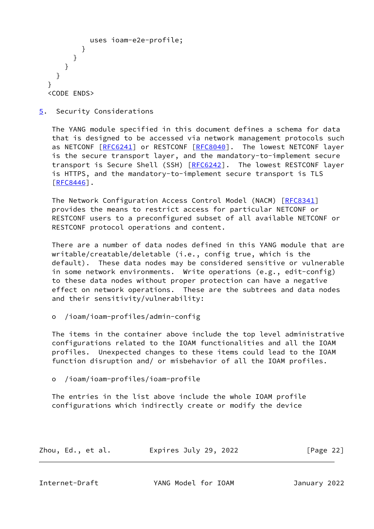```
 uses ioam-e2e-profile;
           }
        }
     }
   }
 }
 <CODE ENDS>
```
<span id="page-24-0"></span>[5](#page-24-0). Security Considerations

 The YANG module specified in this document defines a schema for data that is designed to be accessed via network management protocols such as NETCONF [[RFC6241\]](https://datatracker.ietf.org/doc/pdf/rfc6241) or RESTCONF [\[RFC8040](https://datatracker.ietf.org/doc/pdf/rfc8040)]. The lowest NETCONF layer is the secure transport layer, and the mandatory-to-implement secure transport is Secure Shell (SSH) [\[RFC6242](https://datatracker.ietf.org/doc/pdf/rfc6242)]. The lowest RESTCONF layer is HTTPS, and the mandatory-to-implement secure transport is TLS [\[RFC8446](https://datatracker.ietf.org/doc/pdf/rfc8446)].

 The Network Configuration Access Control Model (NACM) [[RFC8341](https://datatracker.ietf.org/doc/pdf/rfc8341)] provides the means to restrict access for particular NETCONF or RESTCONF users to a preconfigured subset of all available NETCONF or RESTCONF protocol operations and content.

 There are a number of data nodes defined in this YANG module that are writable/creatable/deletable (i.e., config true, which is the default). These data nodes may be considered sensitive or vulnerable in some network environments. Write operations (e.g., edit-config) to these data nodes without proper protection can have a negative effect on network operations. These are the subtrees and data nodes and their sensitivity/vulnerability:

o /ioam/ioam-profiles/admin-config

 The items in the container above include the top level administrative configurations related to the IOAM functionalities and all the IOAM profiles. Unexpected changes to these items could lead to the IOAM function disruption and/ or misbehavior of all the IOAM profiles.

o /ioam/ioam-profiles/ioam-profile

 The entries in the list above include the whole IOAM profile configurations which indirectly create or modify the device

| Zhou, Ed., et al. |  | Expires July 29, 2022 | [Page 22] |  |
|-------------------|--|-----------------------|-----------|--|
|                   |  |                       |           |  |

<span id="page-24-1"></span>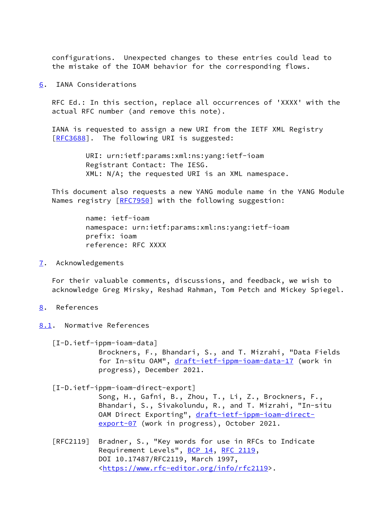configurations. Unexpected changes to these entries could lead to the mistake of the IOAM behavior for the corresponding flows.

<span id="page-25-0"></span>[6](#page-25-0). IANA Considerations

 RFC Ed.: In this section, replace all occurrences of 'XXXX' with the actual RFC number (and remove this note).

 IANA is requested to assign a new URI from the IETF XML Registry [\[RFC3688](https://datatracker.ietf.org/doc/pdf/rfc3688)]. The following URI is suggested:

> URI: urn:ietf:params:xml:ns:yang:ietf-ioam Registrant Contact: The IESG. XML: N/A; the requested URI is an XML namespace.

 This document also requests a new YANG module name in the YANG Module Names registry [\[RFC7950](https://datatracker.ietf.org/doc/pdf/rfc7950)] with the following suggestion:

> name: ietf-ioam namespace: urn:ietf:params:xml:ns:yang:ietf-ioam prefix: ioam reference: RFC XXXX

<span id="page-25-1"></span>[7](#page-25-1). Acknowledgements

 For their valuable comments, discussions, and feedback, we wish to acknowledge Greg Mirsky, Reshad Rahman, Tom Petch and Mickey Spiegel.

- <span id="page-25-2"></span>[8](#page-25-2). References
- <span id="page-25-3"></span>[8.1](#page-25-3). Normative References

<span id="page-25-4"></span> [I-D.ietf-ippm-ioam-data] Brockners, F., Bhandari, S., and T. Mizrahi, "Data Fields for In-situ OAM", [draft-ietf-ippm-ioam-data-17](https://datatracker.ietf.org/doc/pdf/draft-ietf-ippm-ioam-data-17) (work in progress), December 2021.

<span id="page-25-5"></span> [I-D.ietf-ippm-ioam-direct-export] Song, H., Gafni, B., Zhou, T., Li, Z., Brockners, F., Bhandari, S., Sivakolundu, R., and T. Mizrahi, "In-situ OAM Direct Exporting", [draft-ietf-ippm-ioam-direct](https://datatracker.ietf.org/doc/pdf/draft-ietf-ippm-ioam-direct-export-07) [export-07](https://datatracker.ietf.org/doc/pdf/draft-ietf-ippm-ioam-direct-export-07) (work in progress), October 2021.

 [RFC2119] Bradner, S., "Key words for use in RFCs to Indicate Requirement Levels", [BCP 14](https://datatracker.ietf.org/doc/pdf/bcp14), [RFC 2119](https://datatracker.ietf.org/doc/pdf/rfc2119), DOI 10.17487/RFC2119, March 1997, <[https://www.rfc-editor.org/info/rfc2119>](https://www.rfc-editor.org/info/rfc2119).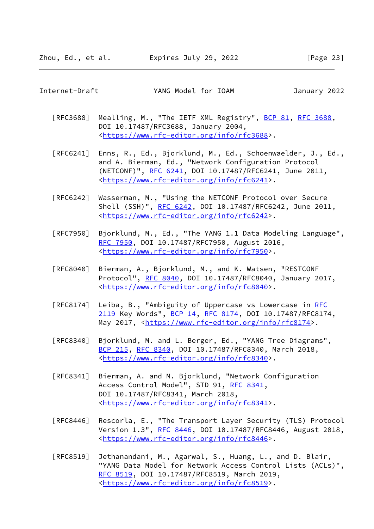<span id="page-26-0"></span>Internet-Draft YANG Model for IOAM January 2022

- [RFC3688] Mealling, M., "The IETF XML Registry", [BCP 81](https://datatracker.ietf.org/doc/pdf/bcp81), [RFC 3688](https://datatracker.ietf.org/doc/pdf/rfc3688), DOI 10.17487/RFC3688, January 2004, <[https://www.rfc-editor.org/info/rfc3688>](https://www.rfc-editor.org/info/rfc3688).
- [RFC6241] Enns, R., Ed., Bjorklund, M., Ed., Schoenwaelder, J., Ed., and A. Bierman, Ed., "Network Configuration Protocol (NETCONF)", [RFC 6241,](https://datatracker.ietf.org/doc/pdf/rfc6241) DOI 10.17487/RFC6241, June 2011, <[https://www.rfc-editor.org/info/rfc6241>](https://www.rfc-editor.org/info/rfc6241).
- [RFC6242] Wasserman, M., "Using the NETCONF Protocol over Secure Shell (SSH)", [RFC 6242](https://datatracker.ietf.org/doc/pdf/rfc6242), DOI 10.17487/RFC6242, June 2011, <[https://www.rfc-editor.org/info/rfc6242>](https://www.rfc-editor.org/info/rfc6242).
- [RFC7950] Bjorklund, M., Ed., "The YANG 1.1 Data Modeling Language", [RFC 7950,](https://datatracker.ietf.org/doc/pdf/rfc7950) DOI 10.17487/RFC7950, August 2016, <[https://www.rfc-editor.org/info/rfc7950>](https://www.rfc-editor.org/info/rfc7950).
- [RFC8040] Bierman, A., Bjorklund, M., and K. Watsen, "RESTCONF Protocol", [RFC 8040](https://datatracker.ietf.org/doc/pdf/rfc8040), DOI 10.17487/RFC8040, January 2017, <[https://www.rfc-editor.org/info/rfc8040>](https://www.rfc-editor.org/info/rfc8040).
- [RFC8174] Leiba, B., "Ambiguity of Uppercase vs Lowercase in [RFC](https://datatracker.ietf.org/doc/pdf/rfc2119) [2119](https://datatracker.ietf.org/doc/pdf/rfc2119) Key Words", [BCP 14](https://datatracker.ietf.org/doc/pdf/bcp14), [RFC 8174,](https://datatracker.ietf.org/doc/pdf/rfc8174) DOI 10.17487/RFC8174, May 2017, [<https://www.rfc-editor.org/info/rfc8174](https://www.rfc-editor.org/info/rfc8174)>.
- [RFC8340] Bjorklund, M. and L. Berger, Ed., "YANG Tree Diagrams", [BCP 215](https://datatracker.ietf.org/doc/pdf/bcp215), [RFC 8340,](https://datatracker.ietf.org/doc/pdf/rfc8340) DOI 10.17487/RFC8340, March 2018, <[https://www.rfc-editor.org/info/rfc8340>](https://www.rfc-editor.org/info/rfc8340).
- [RFC8341] Bierman, A. and M. Bjorklund, "Network Configuration Access Control Model", STD 91, [RFC 8341](https://datatracker.ietf.org/doc/pdf/rfc8341), DOI 10.17487/RFC8341, March 2018, <[https://www.rfc-editor.org/info/rfc8341>](https://www.rfc-editor.org/info/rfc8341).
- [RFC8446] Rescorla, E., "The Transport Layer Security (TLS) Protocol Version 1.3", [RFC 8446](https://datatracker.ietf.org/doc/pdf/rfc8446), DOI 10.17487/RFC8446, August 2018, <[https://www.rfc-editor.org/info/rfc8446>](https://www.rfc-editor.org/info/rfc8446).
- [RFC8519] Jethanandani, M., Agarwal, S., Huang, L., and D. Blair, "YANG Data Model for Network Access Control Lists (ACLs)", [RFC 8519,](https://datatracker.ietf.org/doc/pdf/rfc8519) DOI 10.17487/RFC8519, March 2019, <[https://www.rfc-editor.org/info/rfc8519>](https://www.rfc-editor.org/info/rfc8519).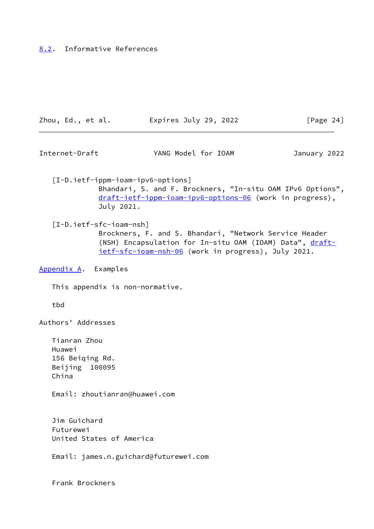## <span id="page-27-0"></span>[8.2](#page-27-0). Informative References

| Zhou, Ed., et al. | Expires July 29, 2022 | [Page 24] |
|-------------------|-----------------------|-----------|
|-------------------|-----------------------|-----------|

<span id="page-27-2"></span>Internet-Draft YANG Model for IOAM January 2022

<span id="page-27-3"></span> [I-D.ietf-ippm-ioam-ipv6-options] Bhandari, S. and F. Brockners, "In-situ OAM IPv6 Options", [draft-ietf-ippm-ioam-ipv6-options-06](https://datatracker.ietf.org/doc/pdf/draft-ietf-ippm-ioam-ipv6-options-06) (work in progress), July 2021.

<span id="page-27-4"></span> [I-D.ietf-sfc-ioam-nsh] Brockners, F. and S. Bhandari, "Network Service Header (NSH) Encapsulation for In-situ OAM (IOAM) Data", [draft](https://datatracker.ietf.org/doc/pdf/draft-ietf-sfc-ioam-nsh-06) [ietf-sfc-ioam-nsh-06](https://datatracker.ietf.org/doc/pdf/draft-ietf-sfc-ioam-nsh-06) (work in progress), July 2021.

<span id="page-27-1"></span>[Appendix A.](#page-27-1) Examples

This appendix is non-normative.

tbd

Authors' Addresses

 Tianran Zhou Huawei 156 Beiqing Rd. Beijing 100095 China

Email: zhoutianran@huawei.com

 Jim Guichard Futurewei United States of America

Email: james.n.guichard@futurewei.com

Frank Brockners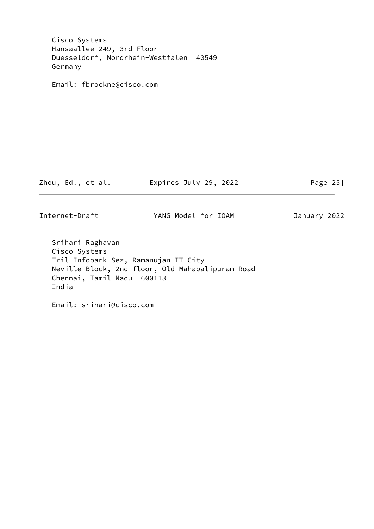| Internet-Draft                                                                 | YANG Model for IOAM   | January 2022 |
|--------------------------------------------------------------------------------|-----------------------|--------------|
| Zhou, Ed., et al.                                                              | Expires July 29, 2022 | [Page $25$ ] |
| Email: fbrockne@cisco.com                                                      |                       |              |
| Germany                                                                        |                       |              |
| Cisco Systems<br>Hansaallee 249, 3rd Floor<br>Duesseldorf, Nordrhein-Westfalen | 40549                 |              |

 Srihari Raghavan Cisco Systems Tril Infopark Sez, Ramanujan IT City Neville Block, 2nd floor, Old Mahabalipuram Road Chennai, Tamil Nadu 600113 India

Email: srihari@cisco.com